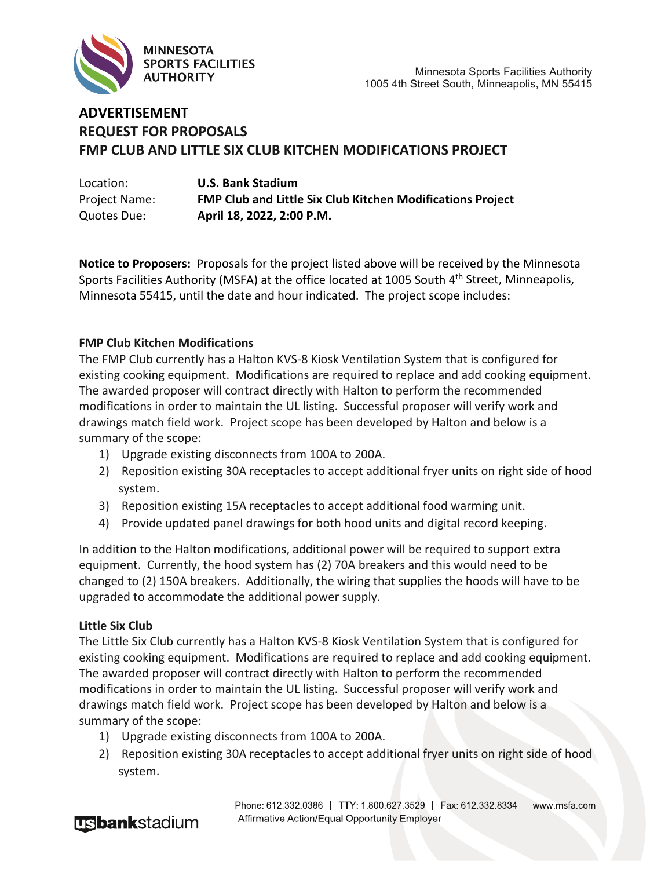

## **ADVERTISEMENT REQUEST FOR PROPOSALS FMP CLUB AND LITTLE SIX CLUB KITCHEN MODIFICATIONS PROJECT**

| Location:            | <b>U.S. Bank Stadium</b>                                          |
|----------------------|-------------------------------------------------------------------|
| <b>Project Name:</b> | <b>FMP Club and Little Six Club Kitchen Modifications Project</b> |
| Quotes Due:          | April 18, 2022, 2:00 P.M.                                         |

**Notice to Proposers:** Proposals for the project listed above will be received by the Minnesota Sports Facilities Authority (MSFA) at the office located at 1005 South 4<sup>th</sup> Street, Minneapolis, Minnesota 55415, until the date and hour indicated. The project scope includes:

## **FMP Club Kitchen Modifications**

The FMP Club currently has a Halton KVS-8 Kiosk Ventilation System that is configured for existing cooking equipment. Modifications are required to replace and add cooking equipment. The awarded proposer will contract directly with Halton to perform the recommended modifications in order to maintain the UL listing. Successful proposer will verify work and drawings match field work. Project scope has been developed by Halton and below is a summary of the scope:

- 1) Upgrade existing disconnects from 100A to 200A.
- 2) Reposition existing 30A receptacles to accept additional fryer units on right side of hood system.
- 3) Reposition existing 15A receptacles to accept additional food warming unit.
- 4) Provide updated panel drawings for both hood units and digital record keeping.

In addition to the Halton modifications, additional power will be required to support extra equipment. Currently, the hood system has (2) 70A breakers and this would need to be changed to (2) 150A breakers. Additionally, the wiring that supplies the hoods will have to be upgraded to accommodate the additional power supply.

## **Little Six Club**

The Little Six Club currently has a Halton KVS-8 Kiosk Ventilation System that is configured for existing cooking equipment. Modifications are required to replace and add cooking equipment. The awarded proposer will contract directly with Halton to perform the recommended modifications in order to maintain the UL listing. Successful proposer will verify work and drawings match field work. Project scope has been developed by Halton and below is a summary of the scope:

- 1) Upgrade existing disconnects from 100A to 200A.
- 2) Reposition existing 30A receptacles to accept additional fryer units on right side of hood system.